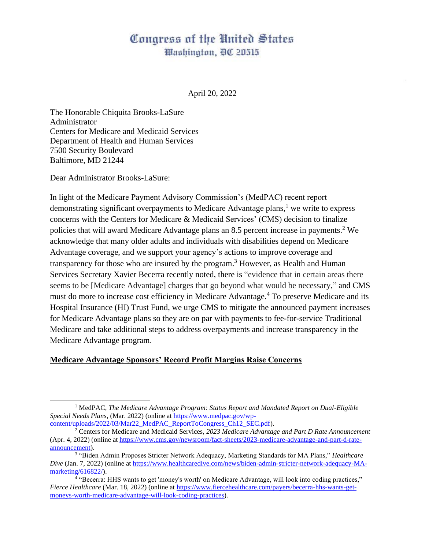# Congress of the United States Washington, DC 20515

April 20, 2022

The Honorable Chiquita Brooks-LaSure Administrator Centers for Medicare and Medicaid Services Department of Health and Human Services 7500 Security Boulevard Baltimore, MD 21244

Dear Administrator Brooks-LaSure:

In light of the Medicare Payment Advisory Commission's (MedPAC) recent report demonstrating significant overpayments to Medicare Advantage plans, $<sup>1</sup>$  we write to express</sup> concerns with the Centers for Medicare & Medicaid Services' (CMS) decision to finalize policies that will award Medicare Advantage plans an 8.5 percent increase in payments. <sup>2</sup> We acknowledge that many older adults and individuals with disabilities depend on Medicare Advantage coverage, and we support your agency's actions to improve coverage and transparency for those who are insured by the program.<sup>3</sup> However, as Health and Human Services Secretary Xavier Becerra recently noted, there is "evidence that in certain areas there seems to be [Medicare Advantage] charges that go beyond what would be necessary," and CMS must do more to increase cost efficiency in Medicare Advantage.<sup>4</sup> To preserve Medicare and its Hospital Insurance (HI) Trust Fund, we urge CMS to mitigate the announced payment increases for Medicare Advantage plans so they are on par with payments to fee-for-service Traditional Medicare and take additional steps to address overpayments and increase transparency in the Medicare Advantage program.

#### **Medicare Advantage Sponsors' Record Profit Margins Raise Concerns**

<sup>1</sup> MedPAC, *The Medicare Advantage Program: Status Report and Mandated Report on Dual-Eligible Special Needs Plans*, (Mar. 2022) (online at [https://www.medpac.gov/wp](https://www.medpac.gov/wp-content/uploads/2022/03/Mar22_MedPAC_ReportToCongress_Ch12_SEC.pdf)[content/uploads/2022/03/Mar22\\_MedPAC\\_ReportToCongress\\_Ch12\\_SEC.pdf\)](https://www.medpac.gov/wp-content/uploads/2022/03/Mar22_MedPAC_ReportToCongress_Ch12_SEC.pdf).

<sup>2</sup> Centers for Medicare and Medicaid Services, *2023 Medicare Advantage and Part D Rate Announcement*  (Apr. 4, 2022) (online at [https://www.cms.gov/newsroom/fact-sheets/2023-medicare-advantage-and-part-d-rate](https://www.cms.gov/newsroom/fact-sheets/2023-medicare-advantage-and-part-d-rate-announcement)[announcement\)](https://www.cms.gov/newsroom/fact-sheets/2023-medicare-advantage-and-part-d-rate-announcement).

<sup>3</sup> "Biden Admin Proposes Stricter Network Adequacy, Marketing Standards for MA Plans," *Healthcare Dive* (Jan. 7, 2022) (online at [https://www.healthcaredive.com/news/biden-admin-stricter-network-adequacy-MA](https://www.healthcaredive.com/news/biden-admin-stricter-network-adequacy-MA-marketing/616822/)[marketing/616822/\)](https://www.healthcaredive.com/news/biden-admin-stricter-network-adequacy-MA-marketing/616822/).

<sup>4</sup> "Becerra: HHS wants to get 'money's worth' on Medicare Advantage, will look into coding practices," *Fierce Healthcare* (Mar. 18, 2022) (online at [https://www.fiercehealthcare.com/payers/becerra-hhs-wants-get](https://www.fiercehealthcare.com/payers/becerra-hhs-wants-get-moneys-worth-medicare-advantage-will-look-coding-practices)[moneys-worth-medicare-advantage-will-look-coding-practices\)](https://www.fiercehealthcare.com/payers/becerra-hhs-wants-get-moneys-worth-medicare-advantage-will-look-coding-practices).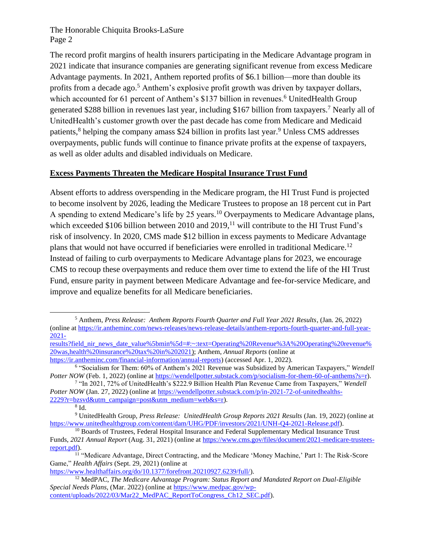The record profit margins of health insurers participating in the Medicare Advantage program in 2021 indicate that insurance companies are generating significant revenue from excess Medicare Advantage payments. In 2021, Anthem reported profits of \$6.1 billion—more than double its profits from a decade ago.<sup>5</sup> Anthem's explosive profit growth was driven by taxpayer dollars, which accounted for 61 percent of Anthem's \$137 billion in revenues.<sup>6</sup> UnitedHealth Group generated \$288 billion in revenues last year, including \$167 billion from taxpayers.<sup>7</sup> Nearly all of UnitedHealth's customer growth over the past decade has come from Medicare and Medicaid patients,<sup>8</sup> helping the company amass \$24 billion in profits last year.<sup>9</sup> Unless CMS addresses overpayments, public funds will continue to finance private profits at the expense of taxpayers, as well as older adults and disabled individuals on Medicare.

### **Excess Payments Threaten the Medicare Hospital Insurance Trust Fund**

Absent efforts to address overspending in the Medicare program, the HI Trust Fund is projected to become insolvent by 2026, leading the Medicare Trustees to propose an 18 percent cut in Part A spending to extend Medicare's life by 25 years.<sup>10</sup> Overpayments to Medicare Advantage plans, which exceeded \$106 billion between 2010 and  $2019$ ,<sup>11</sup> will contribute to the HI Trust Fund's risk of insolvency. In 2020, CMS made \$12 billion in excess payments to Medicare Advantage plans that would not have occurred if beneficiaries were enrolled in traditional Medicare.<sup>12</sup> Instead of failing to curb overpayments to Medicare Advantage plans for 2023, we encourage CMS to recoup these overpayments and reduce them over time to extend the life of the HI Trust Fund, ensure parity in payment between Medicare Advantage and fee-for-service Medicare, and improve and equalize benefits for all Medicare beneficiaries.

[results?field\\_nir\\_news\\_date\\_value%5bmin%5d=#:~:text=Operating%20Revenue%3A%20Operating%20revenue%](https://ir.antheminc.com/news-releases/news-release-details/anthem-reports-fourth-quarter-and-full-year-2021-results?field_nir_news_date_value%5bmin%5d=#:~:text=Operating%20Revenue%3A%20Operating%20revenue%20was,health%20insurance%20tax%20in%202021) [20was,health%20insurance%20tax%20in%202021\)](https://ir.antheminc.com/news-releases/news-release-details/anthem-reports-fourth-quarter-and-full-year-2021-results?field_nir_news_date_value%5bmin%5d=#:~:text=Operating%20Revenue%3A%20Operating%20revenue%20was,health%20insurance%20tax%20in%202021); Anthem, *Annual Reports* (online at [https://ir.antheminc.com/financial-information/annual-reports\)](https://ir.antheminc.com/financial-information/annual-reports) (accessed Apr. 1, 2022).

[https://www.healthaffairs.org/do/10.1377/forefront.20210927.6239/full/\)](https://www.healthaffairs.org/do/10.1377/forefront.20210927.6239/full/).

<sup>5</sup> Anthem, *Press Release: Anthem Reports Fourth Quarter and Full Year 2021 Results*, (Jan. 26, 2022) (online a[t https://ir.antheminc.com/news-releases/news-release-details/anthem-reports-fourth-quarter-and-full-year-](https://ir.antheminc.com/news-releases/news-release-details/anthem-reports-fourth-quarter-and-full-year-2021-results?field_nir_news_date_value%5bmin%5d=#:~:text=Operating%20Revenue%3A%20Operating%20revenue%20was,health%20insurance%20tax%20in%202021)[2021-](https://ir.antheminc.com/news-releases/news-release-details/anthem-reports-fourth-quarter-and-full-year-2021-results?field_nir_news_date_value%5bmin%5d=#:~:text=Operating%20Revenue%3A%20Operating%20revenue%20was,health%20insurance%20tax%20in%202021)

<sup>6</sup> "Socialism for Them: 60% of Anthem's 2021 Revenue was Subsidized by American Taxpayers," *Wendell Potter NOW* (Feb. 1, 2022) (online at [https://wendellpotter.substack.com/p/socialism-for-them-60-of-anthems?s=r\)](https://wendellpotter.substack.com/p/socialism-for-them-60-of-anthems?s=r).

<sup>7</sup> "In 2021, 72% of UnitedHealth's \$222.9 Billion Health Plan Revenue Came from Taxpayers," *Wendell Potter NOW* (Jan. 27, 2022) (online at [https://wendellpotter.substack.com/p/in-2021-72-of-unitedhealths-](https://wendellpotter.substack.com/p/in-2021-72-of-unitedhealths-2229?r=bzsvd&utm_campaign=post&utm_medium=web&s=r)[2229?r=bzsvd&utm\\_campaign=post&utm\\_medium=web&s=r\)](https://wendellpotter.substack.com/p/in-2021-72-of-unitedhealths-2229?r=bzsvd&utm_campaign=post&utm_medium=web&s=r).

<sup>8</sup> Id.

<sup>9</sup> UnitedHealth Group, *Press Release: UnitedHealth Group Reports 2021 Results* (Jan. 19, 2022) (online at [https://www.unitedhealthgroup.com/content/dam/UHG/PDF/investors/2021/UNH-Q4-2021-Release.pdf\)](https://www.unitedhealthgroup.com/content/dam/UHG/PDF/investors/2021/UNH-Q4-2021-Release.pdf).

<sup>&</sup>lt;sup>10</sup> Boards of Trustees, Federal Hospital Insurance and Federal Supplementary Medical Insurance Trust Funds, *2021 Annual Report* (Aug. 31, 2021) (online at [https://www.cms.gov/files/document/2021-medicare-trustees](https://www.cms.gov/files/document/2021-medicare-trustees-report.pdf)[report.pdf\)](https://www.cms.gov/files/document/2021-medicare-trustees-report.pdf).

<sup>&</sup>lt;sup>11</sup> "Medicare Advantage, Direct Contracting, and the Medicare 'Money Machine,' Part 1: The Risk-Score Game," *Health Affairs* (Sept. 29, 2021) (online at

<sup>12</sup> MedPAC, *The Medicare Advantage Program: Status Report and Mandated Report on Dual-Eligible Special Needs Plans*, (Mar. 2022) (online at [https://www.medpac.gov/wp](https://www.medpac.gov/wp-content/uploads/2022/03/Mar22_MedPAC_ReportToCongress_Ch12_SEC.pdf)[content/uploads/2022/03/Mar22\\_MedPAC\\_ReportToCongress\\_Ch12\\_SEC.pdf\)](https://www.medpac.gov/wp-content/uploads/2022/03/Mar22_MedPAC_ReportToCongress_Ch12_SEC.pdf).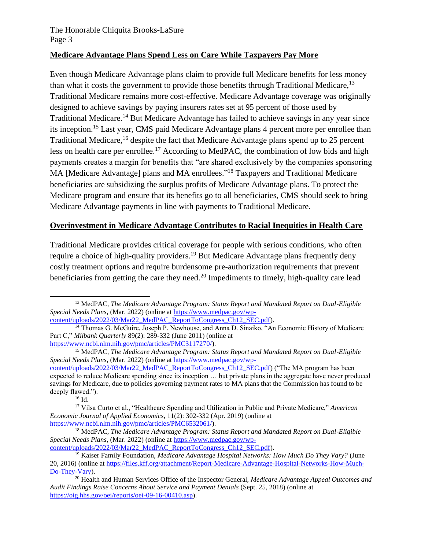#### **Medicare Advantage Plans Spend Less on Care While Taxpayers Pay More**

Even though Medicare Advantage plans claim to provide full Medicare benefits for less money than what it costs the government to provide those benefits through Traditional Medicare,  $13$ Traditional Medicare remains more cost-effective. Medicare Advantage coverage was originally designed to achieve savings by paying insurers rates set at 95 percent of those used by Traditional Medicare.<sup>14</sup> But Medicare Advantage has failed to achieve savings in any year since its inception.<sup>15</sup> Last year, CMS paid Medicare Advantage plans [4](https://www.medpac.gov/wp-content/uploads/2021/10/mar21_medpac_report_ch12_sec.pdf) percent more per enrollee than Traditional Medicare,<sup>16</sup> despite the fact that Medicare Advantage plans spend up to 25 percent less on health care per enrollee.<sup>17</sup> According to MedPAC, the combination of low bids and high payments creates a margin for benefits that "are shared exclusively by the companies sponsoring MA [Medicare Advantage] plans and MA enrollees."<sup>18</sup> Taxpayers and Traditional Medicare beneficiaries are subsidizing the surplus profits of Medicare Advantage plans. To protect the Medicare program and ensure that its benefits go to all beneficiaries, CMS should seek to bring Medicare Advantage payments in line with payments to Traditional Medicare.

## **Overinvestment in Medicare Advantage Contributes to Racial Inequities in Health Care**

Traditional Medicare provides critical coverage for people with serious conditions, who often require a choice of high-quality providers.<sup>19</sup> But Medicare Advantage plans frequently deny costly treatment options and require burdensome pre-authorization requirements that prevent beneficiaries from getting the care they need.<sup>20</sup> Impediments to timely, high-quality care lead

<sup>16</sup> [Id.](https://www.medpac.gov/wp-content/uploads/2022/03/Mar22_MedPAC_ReportToCongress_Ch12_SEC.pdf)

<sup>13</sup> MedPAC, *The Medicare Advantage Program: Status Report and Mandated Report on Dual-Eligible Special Needs Plans*, (Mar. 2022) (online at [https://www.medpac.gov/wp](https://www.medpac.gov/wp-content/uploads/2022/03/Mar22_MedPAC_ReportToCongress_Ch12_SEC.pdf)[content/uploads/2022/03/Mar22\\_MedPAC\\_ReportToCongress\\_Ch12\\_SEC.pdf\)](https://www.medpac.gov/wp-content/uploads/2022/03/Mar22_MedPAC_ReportToCongress_Ch12_SEC.pdf).

<sup>14</sup> Thomas G. McGuire, Joseph P. Newhouse, and Anna D. Sinaiko, "An Economic History of Medicare Part C," *Milbank Quarterly* 89(2): 289-332 (June 2011) (online at [https://www.ncbi.nlm.nih.gov/pmc/articles/PMC3117270/\)](https://www.ncbi.nlm.nih.gov/pmc/articles/PMC3117270/).

<sup>15</sup> MedPAC, *The Medicare Advantage Program: Status Report and Mandated Report on Dual-Eligible Special Needs Plans*, (Mar. 2022) (online at [https://www.medpac.gov/wp-](https://www.medpac.gov/wp-content/uploads/2022/03/Mar22_MedPAC_ReportToCongress_Ch12_SEC.pdf)

[content/uploads/2022/03/Mar22\\_MedPAC\\_ReportToCongress\\_Ch12\\_SEC.pdf\)](https://www.medpac.gov/wp-content/uploads/2022/03/Mar22_MedPAC_ReportToCongress_Ch12_SEC.pdf) ("The MA program has been expected to reduce Medicare spending since its inception … but private plans in the aggregate have never produced savings for Medicare, due to policies governing payment rates to MA plans that the Commission has found to be deeply flawed.").

<sup>17</sup> Vilsa Curto et al., "Healthcare Spending and Utilization in Public and Private Medicare," *American Economic Journal of Applied Economics*, 11(2): 302-332 (Apr. 2019) (online at [https://www.ncbi.nlm.nih.gov/pmc/articles/PMC6532061/\)](https://www.ncbi.nlm.nih.gov/pmc/articles/PMC6532061/).

<sup>18</sup> MedPAC, *The Medicare Advantage Program: Status Report and Mandated Report on Dual-Eligible Special Needs Plans*, (Mar. 2022) (online at [https://www.medpac.gov/wp](https://www.medpac.gov/wp-content/uploads/2022/03/Mar22_MedPAC_ReportToCongress_Ch12_SEC.pdf)[content/uploads/2022/03/Mar22\\_MedPAC\\_ReportToCongress\\_Ch12\\_SEC.pdf\)](https://www.medpac.gov/wp-content/uploads/2022/03/Mar22_MedPAC_ReportToCongress_Ch12_SEC.pdf).

<sup>19</sup> Kaiser Family Foundation, *Medicare Advantage Hospital Networks: How Much Do They Vary?* (June 20, 2016) (online at [https://files.kff.org/attachment/Report-Medicare-Advantage-Hospital-Networks-How-Much-](https://files.kff.org/attachment/Report-Medicare-Advantage-Hospital-Networks-How-Much-Do-They-Vary)[Do-They-Vary\)](https://files.kff.org/attachment/Report-Medicare-Advantage-Hospital-Networks-How-Much-Do-They-Vary).

<sup>20</sup> Health and Human Services Office of the Inspector General, *Medicare Advantage Appeal Outcomes and Audit Findings Raise Concerns About Service and Payment Denials* (Sept. 25, 2018) (online at [https://oig.hhs.gov/oei/reports/oei-09-16-00410.asp\)](https://oig.hhs.gov/oei/reports/oei-09-16-00410.asp).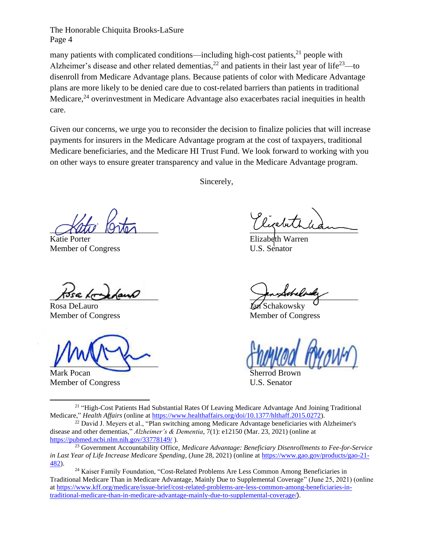many patients with complicated conditions—including high-cost patients, $^{21}$  people with Alzheimer's disease and other related dementias,<sup>22</sup> and patients in their last year of life<sup>23</sup>—to disenroll from Medicare Advantage plans. Because patients of color with Medicare Advantage plans are more likely to be denied care due to cost-related barriers than patients in traditional Medicare,<sup>24</sup> overinvestment in Medicare Advantage also exacerbates racial inequities in health care.

Given our concerns, we urge you to reconsider the decision to finalize policies that will increase payments for insurers in the Medicare Advantage program at the cost of taxpayers, traditional Medicare beneficiaries, and the Medicare HI Trust Fund. We look forward to working with you on other ways to ensure greater transparency and value in the Medicare Advantage program.

Sincerely,

 $\sim$ 

Katie Porter Member of Congress U.S. Senator

Rosa DeLauro **Jan Schakowsky** 

Mark Pocan Sherrod Brown Sherrod Brown Sherrod Brown Sherrod Brown Sherrod Brown Sherrod Brown Sherrod Brown Sherrod Brown Sherrod Brown Sherrod Brown Sherrod Brown Sherrod Brown Sherrod Brown Sherrod Brown Sherrod Brown S

Member of Congress U.S. Senator

 $\frac{1}{\sqrt{2\pi}}$ 

Member of Congress Member of Congress

 $\bigcup_{i=1}^n \bigcup_{i=1}^n \bigcup_{i=1}^n \bigcup_{i=1}^n \bigcup_{i=1}^n \bigcup_{i=1}^n \bigcup_{i=1}^n \bigcup_{i=1}^n \bigcup_{i=1}^n \bigcup_{i=1}^n \bigcup_{i=1}^n \bigcup_{i=1}^n \bigcup_{i=1}^n \bigcup_{i=1}^n \bigcup_{i=1}^n \bigcup_{i=1}^n \bigcup_{i=1}^n \bigcup_{i=1}^n \bigcup_{i=1}^n \bigcup_{i=1}^n \bigcup_{i=1}^n \bigcup_{i=1}^n$ 

<sup>21</sup> "High-Cost Patients Had Substantial Rates Of Leaving Medicare Advantage And Joining Traditional Medicare," *Health Affairs* (online at [https://www.healthaffairs.org/doi/10.1377/hlthaff.2015.0272\)](https://www.healthaffairs.org/doi/10.1377/hlthaff.2015.0272).

<sup>22</sup> David J. Meyers et al., "Plan switching among Medicare Advantage beneficiaries with Alzheimer's disease and other dementias," *Alzheimer's & Dementia*, 7(1): e12150 (Mar. 23, 2021) (online at <https://pubmed.ncbi.nlm.nih.gov/33778149/>).

<sup>23</sup> Government Accountability Office, *Medicare Advantage: Beneficiary Disenrollments to Fee-for-Service in Last Year of Life Increase Medicare Spending*, (June 28, 2021) (online at [https://www.gao.gov/products/gao-21-](https://www.gao.gov/products/gao-21-482) [482\)](https://www.gao.gov/products/gao-21-482).

<sup>24</sup> Kaiser Family Foundation, "Cost-Related Problems Are Less Common Among Beneficiaries in Traditional Medicare Than in Medicare Advantage, Mainly Due to Supplemental Coverage" (June 25, 2021) (online a[t https://www.kff.org/medicare/issue-brief/cost-related-problems-are-less-common-among-beneficiaries-in](https://www.kff.org/medicare/issue-brief/cost-related-problems-are-less-common-among-beneficiaries-in-traditional-medicare-than-in-medicare-advantage-mainly-due-to-supplemental-coverage/)[traditional-medicare-than-in-medicare-advantage-mainly-due-to-supplemental-coverage/](https://www.kff.org/medicare/issue-brief/cost-related-problems-are-less-common-among-beneficiaries-in-traditional-medicare-than-in-medicare-advantage-mainly-due-to-supplemental-coverage/)).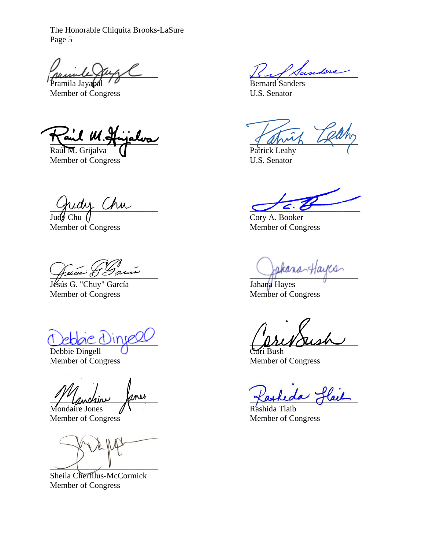Pramila Jayapal  $\theta$ 

Member of Congress U.S. Senator

 $\overleftrightarrow{\mathcal{A}}$ and  $\mathcal{U}.$ g

Raúl M. Grijalva (Patrick Leahy Member of Congress U.S. Senator

Judy Chu (J Cory A. Booker Member of Congress Member of Congress

Jésús G. "Chuy" García Member of Congress Member of Congress

Debbie Dingell Cori Bush Member of Congress Member of Congress

"/" Lanchin fines Mondaire Jones  $\bigwedge$ 

Member of Congress Member of Congress

 $\sim$   $\sim$   $\sim$ 

Sheila Cherfilus-McCormick Member of Congress

 $\mathcal{L}$  Sanders

 $\gamma$ uay  $\gamma$ 

Fesces G Sauces

Leogre United Australian